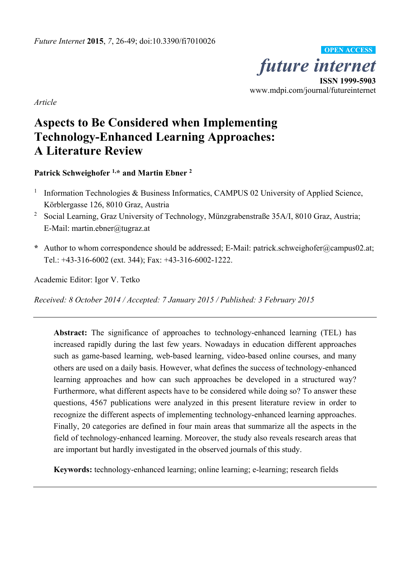*future internet*  **ISSN 1999-5903**  www.mdpi.com/journal/futureinternet **OPEN ACCESS**

*Article* 

# **Aspects to Be Considered when Implementing Technology-Enhanced Learning Approaches: A Literature Review**

**Patrick Schweighofer 1,\* and Martin Ebner 2**

- 1 Information Technologies & Business Informatics, CAMPUS 02 University of Applied Science, Körblergasse 126, 8010 Graz, Austria
- 2 Social Learning, Graz University of Technology, Münzgrabenstraße 35A/I, 8010 Graz, Austria; E-Mail: martin.ebner@tugraz.at
- **\*** Author to whom correspondence should be addressed; E-Mail: patrick.schweighofer@campus02.at; Tel.: +43-316-6002 (ext. 344); Fax: +43-316-6002-1222.

Academic Editor: Igor V. Tetko

*Received: 8 October 2014 / Accepted: 7 January 2015 / Published: 3 February 2015* 

**Abstract:** The significance of approaches to technology-enhanced learning (TEL) has increased rapidly during the last few years. Nowadays in education different approaches such as game-based learning, web-based learning, video-based online courses, and many others are used on a daily basis. However, what defines the success of technology-enhanced learning approaches and how can such approaches be developed in a structured way? Furthermore, what different aspects have to be considered while doing so? To answer these questions, 4567 publications were analyzed in this present literature review in order to recognize the different aspects of implementing technology-enhanced learning approaches. Finally, 20 categories are defined in four main areas that summarize all the aspects in the field of technology-enhanced learning. Moreover, the study also reveals research areas that are important but hardly investigated in the observed journals of this study.

**Keywords:** technology-enhanced learning; online learning; e-learning; research fields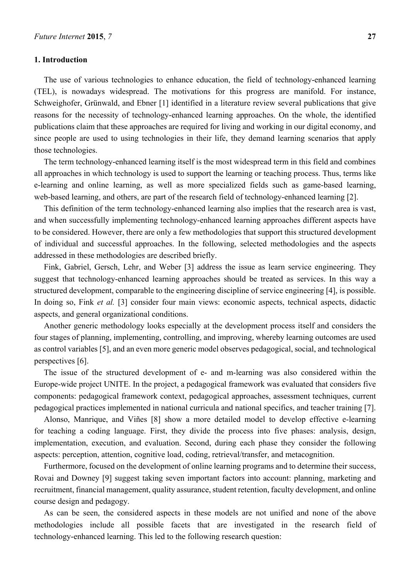## **1. Introduction**

The use of various technologies to enhance education, the field of technology-enhanced learning (TEL), is nowadays widespread. The motivations for this progress are manifold. For instance, Schweighofer, Grünwald, and Ebner [1] identified in a literature review several publications that give reasons for the necessity of technology-enhanced learning approaches. On the whole, the identified publications claim that these approaches are required for living and working in our digital economy, and since people are used to using technologies in their life, they demand learning scenarios that apply those technologies.

The term technology-enhanced learning itself is the most widespread term in this field and combines all approaches in which technology is used to support the learning or teaching process. Thus, terms like e-learning and online learning, as well as more specialized fields such as game-based learning, web-based learning, and others, are part of the research field of technology-enhanced learning [2].

This definition of the term technology-enhanced learning also implies that the research area is vast, and when successfully implementing technology-enhanced learning approaches different aspects have to be considered. However, there are only a few methodologies that support this structured development of individual and successful approaches. In the following, selected methodologies and the aspects addressed in these methodologies are described briefly.

Fink, Gabriel, Gersch, Lehr, and Weber [3] address the issue as learn service engineering. They suggest that technology-enhanced learning approaches should be treated as services. In this way a structured development, comparable to the engineering discipline of service engineering [4], is possible. In doing so, Fink *et al.* [3] consider four main views: economic aspects, technical aspects, didactic aspects, and general organizational conditions.

Another generic methodology looks especially at the development process itself and considers the four stages of planning, implementing, controlling, and improving, whereby learning outcomes are used as control variables [5], and an even more generic model observes pedagogical, social, and technological perspectives [6].

The issue of the structured development of e- and m-learning was also considered within the Europe-wide project UNITE. In the project, a pedagogical framework was evaluated that considers five components: pedagogical framework context, pedagogical approaches, assessment techniques, current pedagogical practices implemented in national curricula and national specifics, and teacher training [7].

Alonso, Manrique, and Viñes [8] show a more detailed model to develop effective e-learning for teaching a coding language. First, they divide the process into five phases: analysis, design, implementation, execution, and evaluation. Second, during each phase they consider the following aspects: perception, attention, cognitive load, coding, retrieval/transfer, and metacognition.

Furthermore, focused on the development of online learning programs and to determine their success, Rovai and Downey [9] suggest taking seven important factors into account: planning, marketing and recruitment, financial management, quality assurance, student retention, faculty development, and online course design and pedagogy.

As can be seen, the considered aspects in these models are not unified and none of the above methodologies include all possible facets that are investigated in the research field of technology-enhanced learning. This led to the following research question: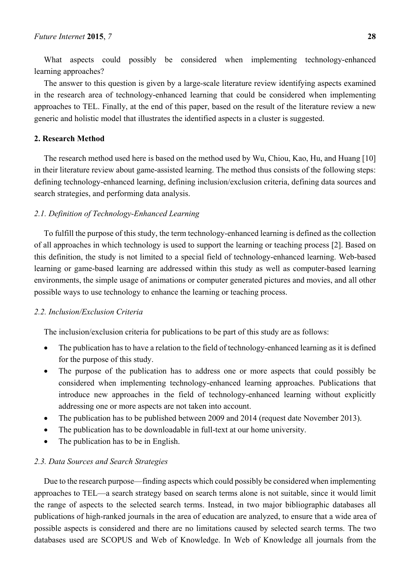What aspects could possibly be considered when implementing technology-enhanced learning approaches?

The answer to this question is given by a large-scale literature review identifying aspects examined in the research area of technology-enhanced learning that could be considered when implementing approaches to TEL. Finally, at the end of this paper, based on the result of the literature review a new generic and holistic model that illustrates the identified aspects in a cluster is suggested.

# **2. Research Method**

The research method used here is based on the method used by Wu, Chiou, Kao, Hu, and Huang [10] in their literature review about game-assisted learning. The method thus consists of the following steps: defining technology-enhanced learning, defining inclusion/exclusion criteria, defining data sources and search strategies, and performing data analysis.

# *2.1. Definition of Technology-Enhanced Learning*

To fulfill the purpose of this study, the term technology-enhanced learning is defined as the collection of all approaches in which technology is used to support the learning or teaching process [2]. Based on this definition, the study is not limited to a special field of technology-enhanced learning. Web-based learning or game-based learning are addressed within this study as well as computer-based learning environments, the simple usage of animations or computer generated pictures and movies, and all other possible ways to use technology to enhance the learning or teaching process.

## *2.2. Inclusion/Exclusion Criteria*

The inclusion/exclusion criteria for publications to be part of this study are as follows:

- The publication has to have a relation to the field of technology-enhanced learning as it is defined for the purpose of this study.
- The purpose of the publication has to address one or more aspects that could possibly be considered when implementing technology-enhanced learning approaches. Publications that introduce new approaches in the field of technology-enhanced learning without explicitly addressing one or more aspects are not taken into account.
- The publication has to be published between 2009 and 2014 (request date November 2013).
- The publication has to be downloadable in full-text at our home university.
- The publication has to be in English.

## *2.3. Data Sources and Search Strategies*

Due to the research purpose—finding aspects which could possibly be considered when implementing approaches to TEL—a search strategy based on search terms alone is not suitable, since it would limit the range of aspects to the selected search terms. Instead, in two major bibliographic databases all publications of high-ranked journals in the area of education are analyzed, to ensure that a wide area of possible aspects is considered and there are no limitations caused by selected search terms. The two databases used are SCOPUS and Web of Knowledge. In Web of Knowledge all journals from the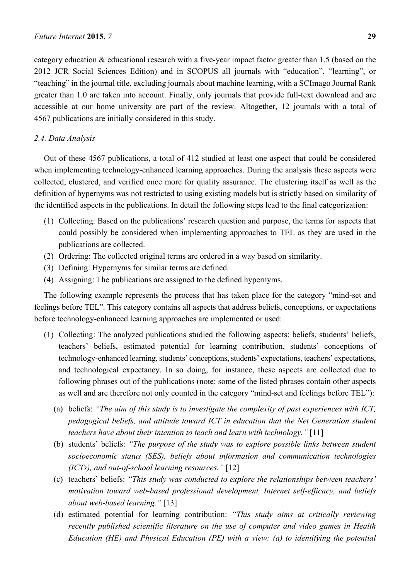category education & educational research with a five-year impact factor greater than 1.5 (based on the 2012 JCR Social Sciences Edition) and in SCOPUS all journals with "education", "learning", or "teaching" in the journal title, excluding journals about machine learning, with a SCImago Journal Rank greater than 1.0 are taken into account. Finally, only journals that provide full-text download and are accessible at our home university are part of the review. Altogether, 12 journals with a total of 4567 publications are initially considered in this study.

# *2.4. Data Analysis*

Out of these 4567 publications, a total of 412 studied at least one aspect that could be considered when implementing technology-enhanced learning approaches. During the analysis these aspects were collected, clustered, and verified once more for quality assurance. The clustering itself as well as the definition of hypernyms was not restricted to using existing models but is strictly based on similarity of the identified aspects in the publications. In detail the following steps lead to the final categorization:

- (1) Collecting: Based on the publications' research question and purpose, the terms for aspects that could possibly be considered when implementing approaches to TEL as they are used in the publications are collected.
- (2) Ordering: The collected original terms are ordered in a way based on similarity.
- (3) Defining: Hypernyms for similar terms are defined.
- (4) Assigning: The publications are assigned to the defined hypernyms.

The following example represents the process that has taken place for the category "mind-set and feelings before TEL". This category contains all aspects that address beliefs, conceptions, or expectations before technology-enhanced learning approaches are implemented or used:

- (1) Collecting: The analyzed publications studied the following aspects: beliefs, students' beliefs, teachers' beliefs, estimated potential for learning contribution, students' conceptions of technology-enhanced learning, students' conceptions, students' expectations, teachers' expectations, and technological expectancy. In so doing, for instance, these aspects are collected due to following phrases out of the publications (note: some of the listed phrases contain other aspects as well and are therefore not only counted in the category "mind-set and feelings before TEL"):
	- (a) beliefs: *"The aim of this study is to investigate the complexity of past experiences with ICT, pedagogical beliefs, and attitude toward ICT in education that the Net Generation student teachers have about their intention to teach and learn with technology."* [11]
	- (b) students' beliefs: *"The purpose of the study was to explore possible links between student socioeconomic status (SES), beliefs about information and communication technologies (ICTs), and out-of-school learning resources."* [12]
	- (c) teachers' beliefs: *"This study was conducted to explore the relationships between teachers' motivation toward web-based professional development, Internet self-efficacy, and beliefs about web-based learning."* [13]
	- (d) estimated potential for learning contribution: *"This study aims at critically reviewing recently published scientific literature on the use of computer and video games in Health Education (HE) and Physical Education (PE) with a view: (a) to identifying the potential*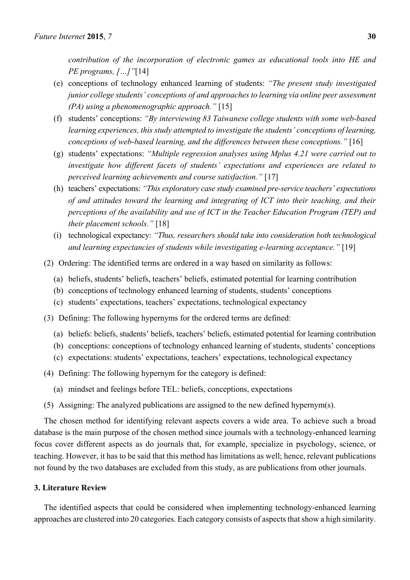*contribution of the incorporation of electronic games as educational tools into HE and PE programs, […]"*[14]

- (e) conceptions of technology enhanced learning of students: *"The present study investigated junior college students' conceptions of and approaches to learning via online peer assessment (PA) using a phenomenographic approach."* [15]
- (f) students' conceptions: *"By interviewing 83 Taiwanese college students with some web-based learning experiences, this study attempted to investigate the students' conceptions of learning, conceptions of web-based learning, and the differences between these conceptions."* [16]
- (g) students' expectations: *"Multiple regression analyses using Mplus 4.21 were carried out to investigate how different facets of students' expectations and experiences are related to perceived learning achievements and course satisfaction."* [17]
- (h) teachers' expectations: *"This exploratory case study examined pre-service teachers' expectations of and attitudes toward the learning and integrating of ICT into their teaching, and their perceptions of the availability and use of ICT in the Teacher Education Program (TEP) and their placement schools."* [18]
- (i) technological expectancy: *"Thus, researchers should take into consideration both technological and learning expectancies of students while investigating e-learning acceptance."* [19]

(2) Ordering: The identified terms are ordered in a way based on similarity as follows:

- (a) beliefs, students' beliefs, teachers' beliefs, estimated potential for learning contribution
- (b) conceptions of technology enhanced learning of students, students' conceptions
- (c) students' expectations, teachers' expectations, technological expectancy
- (3) Defining: The following hypernyms for the ordered terms are defined:
	- (a) beliefs: beliefs, students' beliefs, teachers' beliefs, estimated potential for learning contribution
	- (b) conceptions: conceptions of technology enhanced learning of students, students' conceptions
	- (c) expectations: students' expectations, teachers' expectations, technological expectancy
- (4) Defining: The following hypernym for the category is defined:
	- (a) mindset and feelings before TEL: beliefs, conceptions, expectations
- (5) Assigning: The analyzed publications are assigned to the new defined hypernym(s).

The chosen method for identifying relevant aspects covers a wide area. To achieve such a broad database is the main purpose of the chosen method since journals with a technology-enhanced learning focus cover different aspects as do journals that, for example, specialize in psychology, science, or teaching. However, it has to be said that this method has limitations as well; hence, relevant publications not found by the two databases are excluded from this study, as are publications from other journals.

# **3. Literature Review**

The identified aspects that could be considered when implementing technology-enhanced learning approaches are clustered into 20 categories. Each category consists of aspects that show a high similarity.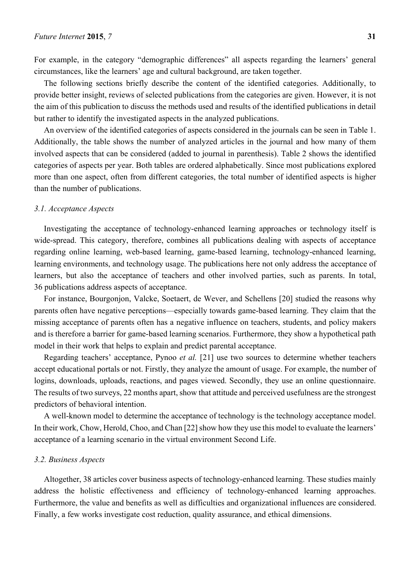For example, in the category "demographic differences" all aspects regarding the learners' general circumstances, like the learners' age and cultural background, are taken together.

The following sections briefly describe the content of the identified categories. Additionally, to provide better insight, reviews of selected publications from the categories are given. However, it is not the aim of this publication to discuss the methods used and results of the identified publications in detail but rather to identify the investigated aspects in the analyzed publications.

An overview of the identified categories of aspects considered in the journals can be seen in Table 1. Additionally, the table shows the number of analyzed articles in the journal and how many of them involved aspects that can be considered (added to journal in parenthesis). Table 2 shows the identified categories of aspects per year. Both tables are ordered alphabetically. Since most publications explored more than one aspect, often from different categories, the total number of identified aspects is higher than the number of publications.

## *3.1. Acceptance Aspects*

Investigating the acceptance of technology-enhanced learning approaches or technology itself is wide-spread. This category, therefore, combines all publications dealing with aspects of acceptance regarding online learning, web-based learning, game-based learning, technology-enhanced learning, learning environments, and technology usage. The publications here not only address the acceptance of learners, but also the acceptance of teachers and other involved parties, such as parents. In total, 36 publications address aspects of acceptance.

For instance, Bourgonjon, Valcke, Soetaert, de Wever, and Schellens [20] studied the reasons why parents often have negative perceptions—especially towards game-based learning. They claim that the missing acceptance of parents often has a negative influence on teachers, students, and policy makers and is therefore a barrier for game-based learning scenarios. Furthermore, they show a hypothetical path model in their work that helps to explain and predict parental acceptance.

Regarding teachers' acceptance, Pynoo *et al.* [21] use two sources to determine whether teachers accept educational portals or not. Firstly, they analyze the amount of usage. For example, the number of logins, downloads, uploads, reactions, and pages viewed. Secondly, they use an online questionnaire. The results of two surveys, 22 months apart, show that attitude and perceived usefulness are the strongest predictors of behavioral intention.

A well-known model to determine the acceptance of technology is the technology acceptance model. In their work, Chow, Herold, Choo, and Chan [22] show how they use this model to evaluate the learners' acceptance of a learning scenario in the virtual environment Second Life.

## *3.2. Business Aspects*

Altogether, 38 articles cover business aspects of technology-enhanced learning. These studies mainly address the holistic effectiveness and efficiency of technology-enhanced learning approaches. Furthermore, the value and benefits as well as difficulties and organizational influences are considered. Finally, a few works investigate cost reduction, quality assurance, and ethical dimensions.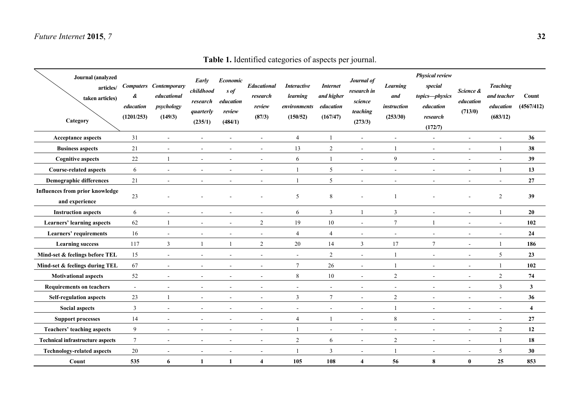**Table 1.** Identified categories of aspects per journal.

| Journal (analyzed<br>articles/<br>taken articles)<br>Category | &<br>education<br>(1201/253) | <b>Computers Contemporary</b><br>educational<br>psychology<br>(149/3) | Early<br>childhood<br>research<br>quarterly<br>(235/1) | Economic<br>s of<br>education<br>review<br>(484/1) | <b>Educational</b><br>research<br>review<br>(87/3) | <b>Interactive</b><br>learning<br>environments<br>(150/52) | <b>Internet</b><br>and higher<br>education<br>(167/47) | Journal of<br>research in<br>science<br>teaching<br>(273/3) | <b>Learning</b><br>and<br>instruction<br>(253/30) | Physical review<br>special<br>topics-physics<br>education<br>research<br>(172/7) | Science &<br>education<br>(713/0) | <b>Teaching</b><br>and teacher<br>education<br>(683/12) | Count<br>(4567/412)     |
|---------------------------------------------------------------|------------------------------|-----------------------------------------------------------------------|--------------------------------------------------------|----------------------------------------------------|----------------------------------------------------|------------------------------------------------------------|--------------------------------------------------------|-------------------------------------------------------------|---------------------------------------------------|----------------------------------------------------------------------------------|-----------------------------------|---------------------------------------------------------|-------------------------|
| <b>Acceptance aspects</b>                                     | 31                           | $\blacksquare$                                                        | $\overline{\phantom{a}}$                               |                                                    | $\overline{\phantom{a}}$                           | $\overline{4}$                                             |                                                        | $\blacksquare$                                              | $\sim$                                            | $\sim$                                                                           | $\overline{\phantom{0}}$          | $\blacksquare$                                          | 36                      |
| <b>Business aspects</b>                                       | 21                           |                                                                       | $\sim$                                                 |                                                    |                                                    | 13                                                         | $\overline{c}$                                         | $\blacksquare$                                              | $\mathbf{1}$                                      | $\sim$                                                                           |                                   |                                                         | 38                      |
| <b>Cognitive aspects</b>                                      | 22                           | $\mathbf{1}$                                                          | $\overline{\phantom{a}}$                               |                                                    |                                                    | 6                                                          | 1                                                      | $\overline{\phantom{a}}$                                    | 9                                                 | $\blacksquare$                                                                   |                                   | $\overline{\phantom{a}}$                                | 39                      |
| <b>Course-related aspects</b>                                 | 6                            | $\blacksquare$                                                        | $\blacksquare$                                         |                                                    | $\overline{\phantom{a}}$                           |                                                            | 5                                                      | $\blacksquare$                                              | $\sim$                                            | $\overline{\phantom{a}}$                                                         | $\overline{\phantom{a}}$          |                                                         | 13                      |
| <b>Demographic differences</b>                                | 21                           | $\overline{\phantom{a}}$                                              | $\overline{\phantom{a}}$                               |                                                    | $\overline{\phantom{a}}$                           | $\mathbf{1}$                                               | 5                                                      | $\overline{\phantom{a}}$                                    | $\overline{\phantom{a}}$                          | $\overline{\phantom{a}}$                                                         |                                   | $\overline{\phantom{a}}$                                | 27                      |
| Influences from prior knowledge<br>and experience             | 23                           |                                                                       |                                                        |                                                    |                                                    | 5                                                          | $8\,$                                                  |                                                             | $\mathbf{1}$                                      |                                                                                  |                                   | $\overline{c}$                                          | 39                      |
| <b>Instruction aspects</b>                                    | 6                            |                                                                       |                                                        |                                                    |                                                    | 6                                                          | 3                                                      |                                                             | 3                                                 |                                                                                  |                                   |                                                         | $20\,$                  |
| Learners' learning aspects                                    | 62                           |                                                                       | $\overline{\phantom{a}}$                               | $\overline{\phantom{a}}$                           | $\overline{c}$                                     | 19                                                         | 10                                                     | $\blacksquare$                                              | $\tau$                                            |                                                                                  | $\overline{\phantom{a}}$          | $\blacksquare$                                          | 102                     |
| <b>Learners' requirements</b>                                 | 16                           | $\blacksquare$                                                        | $\blacksquare$                                         |                                                    | $\sim$                                             | $\overline{4}$                                             | $\overline{4}$                                         | $\blacksquare$                                              | $\overline{\phantom{a}}$                          | $\blacksquare$                                                                   |                                   | $\blacksquare$                                          | 24                      |
| <b>Learning success</b>                                       | 117                          | 3                                                                     |                                                        |                                                    | $\overline{c}$                                     | $20\,$                                                     | 14                                                     | $\overline{3}$                                              | 17                                                | $7\phantom{.0}$                                                                  | $\overline{\phantom{a}}$          |                                                         | 186                     |
| Mind-set & feelings before TEL                                | 15                           | $\sim$                                                                | $\overline{\phantom{a}}$                               | $\sim$                                             | $\sim$                                             | $\sim$                                                     | 2                                                      | $\blacksquare$                                              | $\mathbf{1}$                                      | $\sim$                                                                           | $\sim$                            | 5                                                       | 23                      |
| Mind-set & feelings during TEL                                | 67                           |                                                                       | $\blacksquare$                                         |                                                    |                                                    | $\overline{7}$                                             | 26                                                     | $\blacksquare$                                              |                                                   | $\blacksquare$                                                                   |                                   |                                                         | 102                     |
| <b>Motivational aspects</b>                                   | 52                           | $\sim$                                                                | $\blacksquare$                                         | $\blacksquare$                                     | $\sim$                                             | $\,8\,$                                                    | $10\,$                                                 | $\sim$                                                      | $\overline{c}$                                    | $\sim$                                                                           | $\overline{\phantom{a}}$          | $\boldsymbol{2}$                                        | 74                      |
| <b>Requirements on teachers</b>                               | $\blacksquare$               | ÷                                                                     | $\blacksquare$                                         |                                                    |                                                    | $\blacksquare$                                             | $\blacksquare$                                         | ۰                                                           |                                                   | $\overline{\phantom{a}}$                                                         | $\sim$                            | $\mathfrak{Z}$                                          | $\mathbf{3}$            |
| <b>Self-regulation aspects</b>                                | 23                           |                                                                       | $\overline{\phantom{a}}$                               |                                                    | $\overline{\phantom{a}}$                           | $\mathfrak{Z}$                                             | $7\phantom{.0}$                                        | $\overline{\phantom{a}}$                                    | $\overline{2}$                                    | $\overline{\phantom{a}}$                                                         |                                   | $\overline{\phantom{a}}$                                | 36                      |
| <b>Social aspects</b>                                         | 3                            | $\blacksquare$                                                        | $\overline{\phantom{a}}$                               | $\overline{\phantom{a}}$                           | $\overline{\phantom{a}}$                           | $\blacksquare$                                             | $\blacksquare$                                         | $\overline{\phantom{a}}$                                    |                                                   | $\sim$                                                                           | $\overline{\phantom{a}}$          | $\overline{\phantom{a}}$                                | $\overline{\mathbf{4}}$ |
| <b>Support processes</b>                                      | 14                           |                                                                       | $\blacksquare$                                         |                                                    |                                                    | $\overline{4}$                                             |                                                        | $\blacksquare$                                              | $\,8\,$                                           | $\overline{a}$                                                                   |                                   | $\sim$                                                  | 27                      |
| <b>Teachers' teaching aspects</b>                             | 9                            | $\blacksquare$                                                        | $\overline{\phantom{a}}$                               |                                                    | $\overline{\phantom{a}}$                           |                                                            | $\blacksquare$                                         | $\overline{\phantom{a}}$                                    | $\overline{\phantom{a}}$                          | $\overline{\phantom{a}}$                                                         | $\overline{\phantom{a}}$          | $\overline{c}$                                          | 12                      |
| <b>Technical infrastructure aspects</b>                       | $7\overline{ }$              | $\blacksquare$                                                        | $\overline{\phantom{a}}$                               | $\sim$                                             | $\sim$                                             | $\sqrt{2}$                                                 | 6                                                      | $\blacksquare$                                              | $\overline{c}$                                    | $\blacksquare$                                                                   | $\overline{\phantom{0}}$          |                                                         | 18                      |
| <b>Technology-related aspects</b>                             | 20                           |                                                                       | $\overline{\phantom{a}}$                               |                                                    | $\blacksquare$                                     | $\mathbf{1}$                                               | $\mathfrak{Z}$                                         | $\overline{a}$                                              | $\mathbf{1}$                                      | $\overline{\phantom{a}}$                                                         |                                   | 5                                                       | 30                      |
| Count                                                         | 535                          | 6                                                                     | $\mathbf{1}$                                           | $\mathbf{1}$                                       | $\overline{\mathbf{4}}$                            | 105                                                        | 108                                                    | $\overline{\mathbf{4}}$                                     | 56                                                | 8                                                                                | $\bf{0}$                          | 25                                                      | 853                     |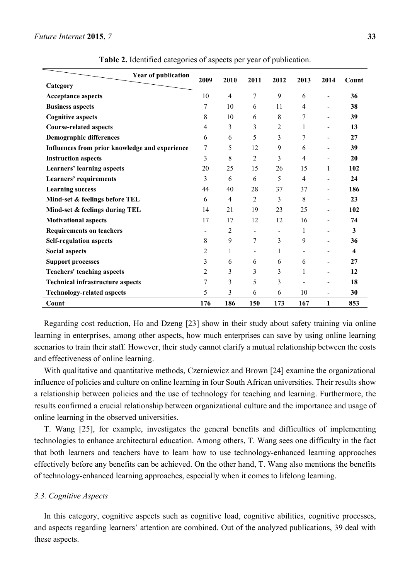| <b>Year of publication</b>                     | 2009 | 2010           | 2011           | 2012           | 2013           | 2014                     | Count |
|------------------------------------------------|------|----------------|----------------|----------------|----------------|--------------------------|-------|
| Category                                       |      |                |                |                |                |                          |       |
| <b>Acceptance aspects</b>                      | 10   | $\overline{4}$ | 7              | 9              | 6              |                          | 36    |
| <b>Business aspects</b>                        | 7    | 10             | 6              | 11             | $\overline{4}$ |                          | 38    |
| <b>Cognitive aspects</b>                       | 8    | 10             | 6              | 8              | 7              | $\overline{\phantom{a}}$ | 39    |
| <b>Course-related aspects</b>                  | 4    | 3              | 3              | 2              | 1              | $\overline{\phantom{a}}$ | 13    |
| <b>Demographic differences</b>                 | 6    | 6              | 5              | 3              | 7              | $\overline{\phantom{0}}$ | 27    |
| Influences from prior knowledge and experience | 7    | 5              | 12             | 9              | 6              | $\overline{a}$           | 39    |
| <b>Instruction aspects</b>                     | 3    | 8              | $\overline{2}$ | 3              | $\overline{4}$ |                          | 20    |
| <b>Learners' learning aspects</b>              | 20   | 25             | 15             | 26             | 15             | 1                        | 102   |
| Learners' requirements                         | 3    | 6              | 6              | 5              | $\overline{4}$ | $\blacksquare$           | 24    |
| <b>Learning success</b>                        | 44   | 40             | 28             | 37             | 37             | $\overline{\phantom{0}}$ | 186   |
| Mind-set & feelings before TEL                 | 6    | $\overline{4}$ | 2              | 3              | 8              | $\overline{\phantom{0}}$ | 23    |
| Mind-set & feelings during TEL                 | 14   | 21             | 19             | 23             | 25             | $\blacksquare$           | 102   |
| <b>Motivational aspects</b>                    | 17   | 17             | 12             | 12             | 16             | $\overline{\phantom{0}}$ | 74    |
| <b>Requirements on teachers</b>                |      | 2              | $\overline{a}$ | $\blacksquare$ | 1              | $\blacksquare$           | 3     |
| <b>Self-regulation aspects</b>                 | 8    | 9              | 7              | 3              | 9              |                          | 36    |
| <b>Social aspects</b>                          | 2    | 1              |                | 1              |                | $\overline{\phantom{0}}$ | 4     |
| <b>Support processes</b>                       | 3    | 6              | 6              | 6              | 6              | $\overline{\phantom{0}}$ | 27    |
| <b>Teachers' teaching aspects</b>              | 2    | 3              | 3              | 3              | 1              | $\overline{a}$           | 12    |
| <b>Technical infrastructure aspects</b>        | 7    | 3              | 5              | 3              |                | $\overline{a}$           | 18    |
| <b>Technology-related aspects</b>              | 5    | 3              | 6              | 6              | 10             | $\overline{\phantom{0}}$ | 30    |
| Count                                          | 176  | 186            | 150            | 173            | 167            | 1                        | 853   |

**Table 2.** Identified categories of aspects per year of publication.

Regarding cost reduction, Ho and Dzeng [23] show in their study about safety training via online learning in enterprises, among other aspects, how much enterprises can save by using online learning scenarios to train their staff. However, their study cannot clarify a mutual relationship between the costs and effectiveness of online learning.

With qualitative and quantitative methods, Czerniewicz and Brown [24] examine the organizational influence of policies and culture on online learning in four South African universities. Their results show a relationship between policies and the use of technology for teaching and learning. Furthermore, the results confirmed a crucial relationship between organizational culture and the importance and usage of online learning in the observed universities.

T. Wang [25], for example, investigates the general benefits and difficulties of implementing technologies to enhance architectural education. Among others, T. Wang sees one difficulty in the fact that both learners and teachers have to learn how to use technology-enhanced learning approaches effectively before any benefits can be achieved. On the other hand, T. Wang also mentions the benefits of technology-enhanced learning approaches, especially when it comes to lifelong learning.

## *3.3. Cognitive Aspects*

In this category, cognitive aspects such as cognitive load, cognitive abilities, cognitive processes, and aspects regarding learners' attention are combined. Out of the analyzed publications, 39 deal with these aspects.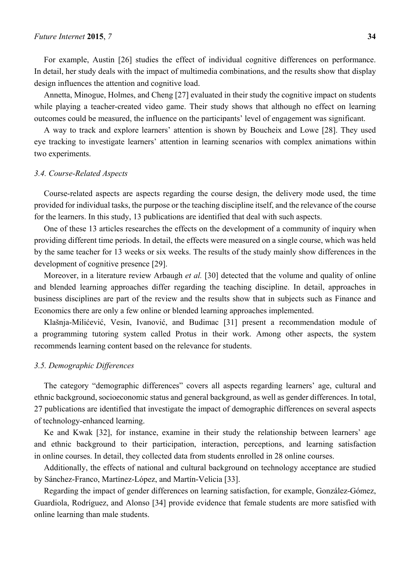For example, Austin [26] studies the effect of individual cognitive differences on performance. In detail, her study deals with the impact of multimedia combinations, and the results show that display design influences the attention and cognitive load.

Annetta, Minogue, Holmes, and Cheng [27] evaluated in their study the cognitive impact on students while playing a teacher-created video game. Their study shows that although no effect on learning outcomes could be measured, the influence on the participants' level of engagement was significant.

A way to track and explore learners' attention is shown by Boucheix and Lowe [28]. They used eye tracking to investigate learners' attention in learning scenarios with complex animations within two experiments.

#### *3.4. Course-Related Aspects*

Course-related aspects are aspects regarding the course design, the delivery mode used, the time provided for individual tasks, the purpose or the teaching discipline itself, and the relevance of the course for the learners. In this study, 13 publications are identified that deal with such aspects.

One of these 13 articles researches the effects on the development of a community of inquiry when providing different time periods. In detail, the effects were measured on a single course, which was held by the same teacher for 13 weeks or six weeks. The results of the study mainly show differences in the development of cognitive presence [29].

Moreover, in a literature review Arbaugh *et al.* [30] detected that the volume and quality of online and blended learning approaches differ regarding the teaching discipline. In detail, approaches in business disciplines are part of the review and the results show that in subjects such as Finance and Economics there are only a few online or blended learning approaches implemented.

Klašnja-Milićević, Vesin, Ivanović, and Budimac [31] present a recommendation module of a programming tutoring system called Protus in their work. Among other aspects, the system recommends learning content based on the relevance for students.

## *3.5. Demographic Differences*

The category "demographic differences" covers all aspects regarding learners' age, cultural and ethnic background, socioeconomic status and general background, as well as gender differences. In total, 27 publications are identified that investigate the impact of demographic differences on several aspects of technology-enhanced learning.

Ke and Kwak [32], for instance, examine in their study the relationship between learners' age and ethnic background to their participation, interaction, perceptions, and learning satisfaction in online courses. In detail, they collected data from students enrolled in 28 online courses.

Additionally, the effects of national and cultural background on technology acceptance are studied by Sánchez-Franco, Martínez-López, and Martín-Velicia [33].

Regarding the impact of gender differences on learning satisfaction, for example, González-Gómez, Guardiola, Rodríguez, and Alonso [34] provide evidence that female students are more satisfied with online learning than male students.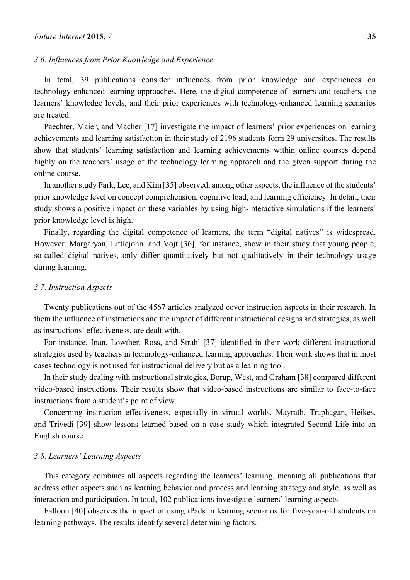## *3.6. Influences from Prior Knowledge and Experience*

In total, 39 publications consider influences from prior knowledge and experiences on technology-enhanced learning approaches. Here, the digital competence of learners and teachers, the learners' knowledge levels, and their prior experiences with technology-enhanced learning scenarios are treated.

Paechter, Maier, and Macher [17] investigate the impact of learners' prior experiences on learning achievements and learning satisfaction in their study of 2196 students form 29 universities. The results show that students' learning satisfaction and learning achievements within online courses depend highly on the teachers' usage of the technology learning approach and the given support during the online course.

In another study Park, Lee, and Kim [35] observed, among other aspects, the influence of the students' prior knowledge level on concept comprehension, cognitive load, and learning efficiency. In detail, their study shows a positive impact on these variables by using high-interactive simulations if the learners' prior knowledge level is high.

Finally, regarding the digital competence of learners, the term "digital natives" is widespread. However, Margaryan, Littlejohn, and Vojt [36], for instance, show in their study that young people, so-called digital natives, only differ quantitatively but not qualitatively in their technology usage during learning.

# *3.7. Instruction Aspects*

Twenty publications out of the 4567 articles analyzed cover instruction aspects in their research. In them the influence of instructions and the impact of different instructional designs and strategies, as well as instructions' effectiveness, are dealt with.

For instance, Inan, Lowther, Ross, and Strahl [37] identified in their work different instructional strategies used by teachers in technology-enhanced learning approaches. Their work shows that in most cases technology is not used for instructional delivery but as a learning tool.

In their study dealing with instructional strategies, Borup, West, and Graham [38] compared different video-based instructions. Their results show that video-based instructions are similar to face-to-face instructions from a student's point of view.

Concerning instruction effectiveness, especially in virtual worlds, Mayrath, Traphagan, Heikes, and Trivedi [39] show lessons learned based on a case study which integrated Second Life into an English course.

# *3.8. Learners' Learning Aspects*

This category combines all aspects regarding the learners' learning, meaning all publications that address other aspects such as learning behavior and process and learning strategy and style, as well as interaction and participation. In total, 102 publications investigate learners' learning aspects.

Falloon [40] observes the impact of using iPads in learning scenarios for five-year-old students on learning pathways. The results identify several determining factors.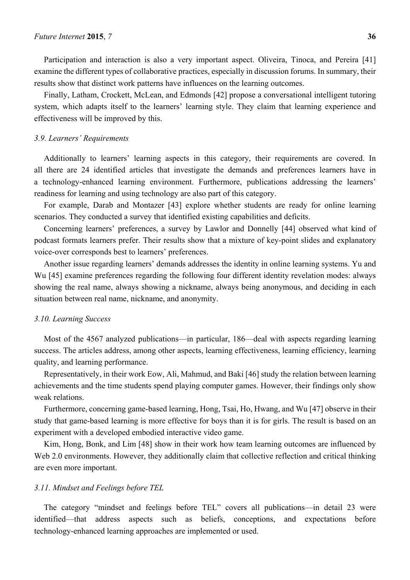Participation and interaction is also a very important aspect. Oliveira, Tinoca, and Pereira [41] examine the different types of collaborative practices, especially in discussion forums. In summary, their results show that distinct work patterns have influences on the learning outcomes.

Finally, Latham, Crockett, McLean, and Edmonds [42] propose a conversational intelligent tutoring system, which adapts itself to the learners' learning style. They claim that learning experience and effectiveness will be improved by this.

### *3.9. Learners' Requirements*

Additionally to learners' learning aspects in this category, their requirements are covered. In all there are 24 identified articles that investigate the demands and preferences learners have in a technology-enhanced learning environment. Furthermore, publications addressing the learners' readiness for learning and using technology are also part of this category.

For example, Darab and Montazer [43] explore whether students are ready for online learning scenarios. They conducted a survey that identified existing capabilities and deficits.

Concerning learners' preferences, a survey by Lawlor and Donnelly [44] observed what kind of podcast formats learners prefer. Their results show that a mixture of key-point slides and explanatory voice-over corresponds best to learners' preferences.

Another issue regarding learners' demands addresses the identity in online learning systems. Yu and Wu [45] examine preferences regarding the following four different identity revelation modes: always showing the real name, always showing a nickname, always being anonymous, and deciding in each situation between real name, nickname, and anonymity.

#### *3.10. Learning Success*

Most of the 4567 analyzed publications—in particular, 186—deal with aspects regarding learning success. The articles address, among other aspects, learning effectiveness, learning efficiency, learning quality, and learning performance.

Representatively, in their work Eow, Ali, Mahmud, and Baki [46] study the relation between learning achievements and the time students spend playing computer games. However, their findings only show weak relations.

Furthermore, concerning game-based learning, Hong, Tsai, Ho, Hwang, and Wu [47] observe in their study that game-based learning is more effective for boys than it is for girls. The result is based on an experiment with a developed embodied interactive video game.

Kim, Hong, Bonk, and Lim [48] show in their work how team learning outcomes are influenced by Web 2.0 environments. However, they additionally claim that collective reflection and critical thinking are even more important.

#### *3.11. Mindset and Feelings before TEL*

The category "mindset and feelings before TEL" covers all publications—in detail 23 were identified—that address aspects such as beliefs, conceptions, and expectations before technology-enhanced learning approaches are implemented or used.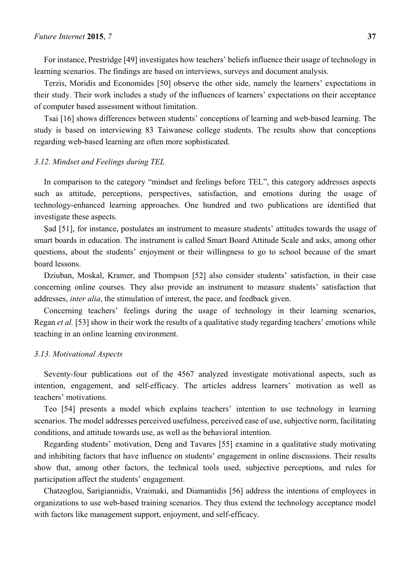For instance, Prestridge [49] investigates how teachers' beliefs influence their usage of technology in learning scenarios. The findings are based on interviews, surveys and document analysis.

Terzis, Moridis and Economides [50] observe the other side, namely the learners' expectations in their study. Their work includes a study of the influences of learners' expectations on their acceptance of computer based assessment without limitation.

Tsai [16] shows differences between students' conceptions of learning and web-based learning. The study is based on interviewing 83 Taiwanese college students. The results show that conceptions regarding web-based learning are often more sophisticated.

#### *3.12. Mindset and Feelings during TEL*

In comparison to the category "mindset and feelings before TEL", this category addresses aspects such as attitude, perceptions, perspectives, satisfaction, and emotions during the usage of technology-enhanced learning approaches. One hundred and two publications are identified that investigate these aspects.

Şad [51], for instance, postulates an instrument to measure students' attitudes towards the usage of smart boards in education. The instrument is called Smart Board Attitude Scale and asks, among other questions, about the students' enjoyment or their willingness to go to school because of the smart board lessons.

Dziuban, Moskal, Kramer, and Thompson [52] also consider students' satisfaction, in their case concerning online courses. They also provide an instrument to measure students' satisfaction that addresses, *inter alia*, the stimulation of interest, the pace, and feedback given.

Concerning teachers' feelings during the usage of technology in their learning scenarios, Regan *et al.* [53] show in their work the results of a qualitative study regarding teachers' emotions while teaching in an online learning environment.

## *3.13. Motivational Aspects*

Seventy-four publications out of the 4567 analyzed investigate motivational aspects, such as intention, engagement, and self-efficacy. The articles address learners' motivation as well as teachers' motivations.

Teo [54] presents a model which explains teachers' intention to use technology in learning scenarios. The model addresses perceived usefulness, perceived ease of use, subjective norm, facilitating conditions, and attitude towards use, as well as the behavioral intention.

Regarding students' motivation, Deng and Tavares [55] examine in a qualitative study motivating and inhibiting factors that have influence on students' engagement in online discussions. Their results show that, among other factors, the technical tools used, subjective perceptions, and rules for participation affect the students' engagement.

Chatzoglou, Sarigiannidis, Vraimaki, and Diamantidis [56] address the intentions of employees in organizations to use web-based training scenarios. They thus extend the technology acceptance model with factors like management support, enjoyment, and self-efficacy.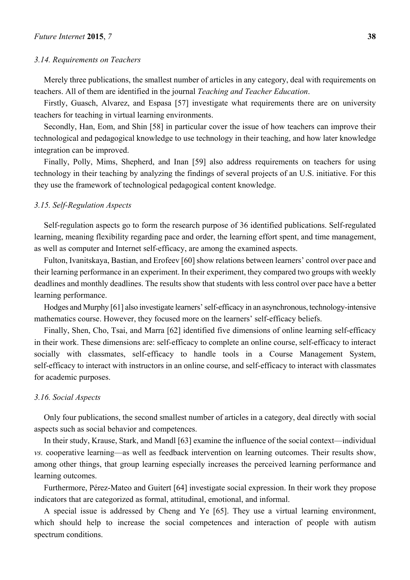## *3.14. Requirements on Teachers*

Merely three publications, the smallest number of articles in any category, deal with requirements on teachers. All of them are identified in the journal *Teaching and Teacher Education*.

Firstly, Guasch, Alvarez, and Espasa [57] investigate what requirements there are on university teachers for teaching in virtual learning environments.

Secondly, Han, Eom, and Shin [58] in particular cover the issue of how teachers can improve their technological and pedagogical knowledge to use technology in their teaching, and how later knowledge integration can be improved.

Finally, Polly, Mims, Shepherd, and Inan [59] also address requirements on teachers for using technology in their teaching by analyzing the findings of several projects of an U.S. initiative. For this they use the framework of technological pedagogical content knowledge.

## *3.15. Self-Regulation Aspects*

Self-regulation aspects go to form the research purpose of 36 identified publications. Self-regulated learning, meaning flexibility regarding pace and order, the learning effort spent, and time management, as well as computer and Internet self-efficacy, are among the examined aspects.

Fulton, Ivanitskaya, Bastian, and Erofeev [60] show relations between learners' control over pace and their learning performance in an experiment. In their experiment, they compared two groups with weekly deadlines and monthly deadlines. The results show that students with less control over pace have a better learning performance.

Hodges and Murphy [61] also investigate learners' self-efficacy in an asynchronous, technology-intensive mathematics course. However, they focused more on the learners' self-efficacy beliefs.

Finally, Shen, Cho, Tsai, and Marra [62] identified five dimensions of online learning self-efficacy in their work. These dimensions are: self-efficacy to complete an online course, self-efficacy to interact socially with classmates, self-efficacy to handle tools in a Course Management System, self-efficacy to interact with instructors in an online course, and self-efficacy to interact with classmates for academic purposes.

# *3.16. Social Aspects*

Only four publications, the second smallest number of articles in a category, deal directly with social aspects such as social behavior and competences.

In their study, Krause, Stark, and Mandl [63] examine the influence of the social context—individual *vs.* cooperative learning—as well as feedback intervention on learning outcomes. Their results show, among other things, that group learning especially increases the perceived learning performance and learning outcomes.

Furthermore, Pérez-Mateo and Guitert [64] investigate social expression. In their work they propose indicators that are categorized as formal, attitudinal, emotional, and informal.

A special issue is addressed by Cheng and Ye [65]. They use a virtual learning environment, which should help to increase the social competences and interaction of people with autism spectrum conditions.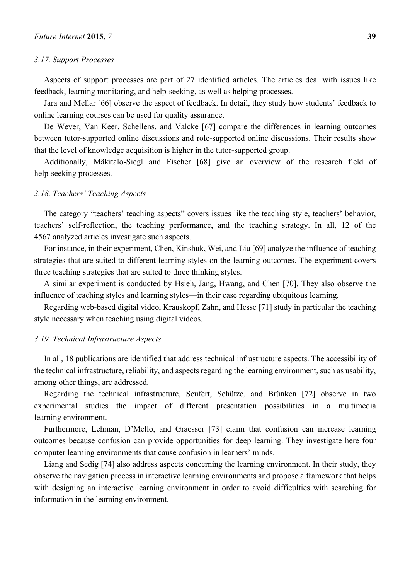### *3.17. Support Processes*

Aspects of support processes are part of 27 identified articles. The articles deal with issues like feedback, learning monitoring, and help-seeking, as well as helping processes.

Jara and Mellar [66] observe the aspect of feedback. In detail, they study how students' feedback to online learning courses can be used for quality assurance.

De Wever, Van Keer, Schellens, and Valcke [67] compare the differences in learning outcomes between tutor-supported online discussions and role-supported online discussions. Their results show that the level of knowledge acquisition is higher in the tutor-supported group.

Additionally, Mäkitalo-Siegl and Fischer [68] give an overview of the research field of help-seeking processes.

## *3.18. Teachers' Teaching Aspects*

The category "teachers' teaching aspects" covers issues like the teaching style, teachers' behavior, teachers' self-reflection, the teaching performance, and the teaching strategy. In all, 12 of the 4567 analyzed articles investigate such aspects.

For instance, in their experiment, Chen, Kinshuk, Wei, and Liu [69] analyze the influence of teaching strategies that are suited to different learning styles on the learning outcomes. The experiment covers three teaching strategies that are suited to three thinking styles.

A similar experiment is conducted by Hsieh, Jang, Hwang, and Chen [70]. They also observe the influence of teaching styles and learning styles—in their case regarding ubiquitous learning.

Regarding web-based digital video, Krauskopf, Zahn, and Hesse [71] study in particular the teaching style necessary when teaching using digital videos.

## *3.19. Technical Infrastructure Aspects*

In all, 18 publications are identified that address technical infrastructure aspects. The accessibility of the technical infrastructure, reliability, and aspects regarding the learning environment, such as usability, among other things, are addressed.

Regarding the technical infrastructure, Seufert, Schütze, and Brünken [72] observe in two experimental studies the impact of different presentation possibilities in a multimedia learning environment.

Furthermore, Lehman, D'Mello, and Graesser [73] claim that confusion can increase learning outcomes because confusion can provide opportunities for deep learning. They investigate here four computer learning environments that cause confusion in learners' minds.

Liang and Sedig [74] also address aspects concerning the learning environment. In their study, they observe the navigation process in interactive learning environments and propose a framework that helps with designing an interactive learning environment in order to avoid difficulties with searching for information in the learning environment.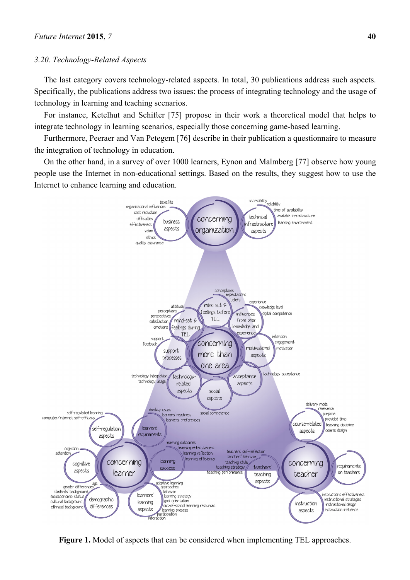# *3.20. Technology-Related Aspects*

The last category covers technology-related aspects. In total, 30 publications address such aspects. Specifically, the publications address two issues: the process of integrating technology and the usage of technology in learning and teaching scenarios.

For instance, Ketelhut and Schifter [75] propose in their work a theoretical model that helps to integrate technology in learning scenarios, especially those concerning game-based learning.

Furthermore, Peeraer and Van Petegem [76] describe in their publication a questionnaire to measure the integration of technology in education.

On the other hand, in a survey of over 1000 learners, Eynon and Malmberg [77] observe how young people use the Internet in non-educational settings. Based on the results, they suggest how to use the Internet to enhance learning and education.



**Figure 1.** Model of aspects that can be considered when implementing TEL approaches.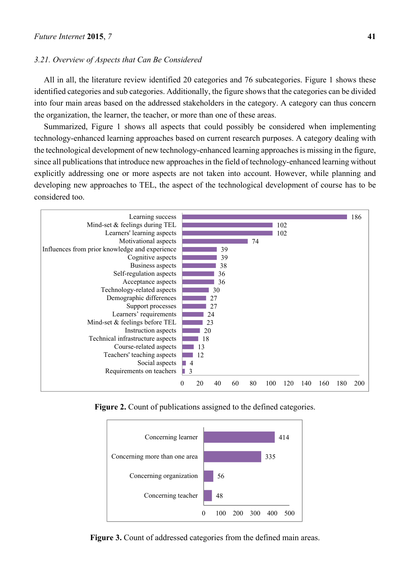# *3.21. Overview of Aspects that Can Be Considered*

All in all, the literature review identified 20 categories and 76 subcategories. Figure 1 shows these identified categories and sub categories. Additionally, the figure shows that the categories can be divided into four main areas based on the addressed stakeholders in the category. A category can thus concern the organization, the learner, the teacher, or more than one of these areas.

Summarized, Figure 1 shows all aspects that could possibly be considered when implementing technology-enhanced learning approaches based on current research purposes. A category dealing with the technological development of new technology-enhanced learning approaches is missing in the figure, since all publications that introduce new approaches in the field of technology-enhanced learning without explicitly addressing one or more aspects are not taken into account. However, while planning and developing new approaches to TEL, the aspect of the technological development of course has to be considered too.



**Figure 2.** Count of publications assigned to the defined categories.



**Figure 3.** Count of addressed categories from the defined main areas.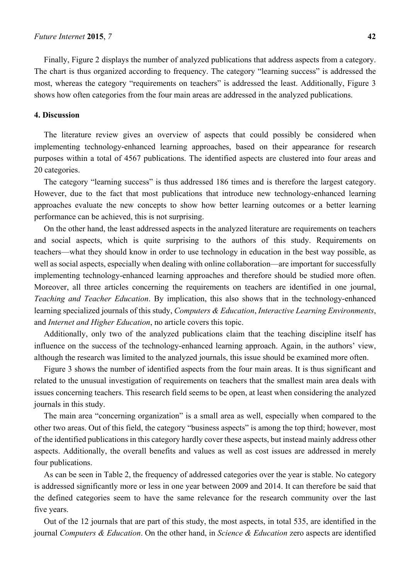Finally, Figure 2 displays the number of analyzed publications that address aspects from a category. The chart is thus organized according to frequency. The category "learning success" is addressed the most, whereas the category "requirements on teachers" is addressed the least. Additionally, Figure 3 shows how often categories from the four main areas are addressed in the analyzed publications.

#### **4. Discussion**

The literature review gives an overview of aspects that could possibly be considered when implementing technology-enhanced learning approaches, based on their appearance for research purposes within a total of 4567 publications. The identified aspects are clustered into four areas and 20 categories.

The category "learning success" is thus addressed 186 times and is therefore the largest category. However, due to the fact that most publications that introduce new technology-enhanced learning approaches evaluate the new concepts to show how better learning outcomes or a better learning performance can be achieved, this is not surprising.

On the other hand, the least addressed aspects in the analyzed literature are requirements on teachers and social aspects, which is quite surprising to the authors of this study. Requirements on teachers—what they should know in order to use technology in education in the best way possible, as well as social aspects, especially when dealing with online collaboration—are important for successfully implementing technology-enhanced learning approaches and therefore should be studied more often. Moreover, all three articles concerning the requirements on teachers are identified in one journal, *Teaching and Teacher Education*. By implication, this also shows that in the technology-enhanced learning specialized journals of this study, *Computers & Education*, *Interactive Learning Environments*, and *Internet and Higher Education*, no article covers this topic.

Additionally, only two of the analyzed publications claim that the teaching discipline itself has influence on the success of the technology-enhanced learning approach. Again, in the authors' view, although the research was limited to the analyzed journals, this issue should be examined more often.

Figure 3 shows the number of identified aspects from the four main areas. It is thus significant and related to the unusual investigation of requirements on teachers that the smallest main area deals with issues concerning teachers. This research field seems to be open, at least when considering the analyzed journals in this study.

The main area "concerning organization" is a small area as well, especially when compared to the other two areas. Out of this field, the category "business aspects" is among the top third; however, most of the identified publications in this category hardly cover these aspects, but instead mainly address other aspects. Additionally, the overall benefits and values as well as cost issues are addressed in merely four publications.

As can be seen in Table 2, the frequency of addressed categories over the year is stable. No category is addressed significantly more or less in one year between 2009 and 2014. It can therefore be said that the defined categories seem to have the same relevance for the research community over the last five years.

Out of the 12 journals that are part of this study, the most aspects, in total 535, are identified in the journal *Computers & Education*. On the other hand, in *Science & Education* zero aspects are identified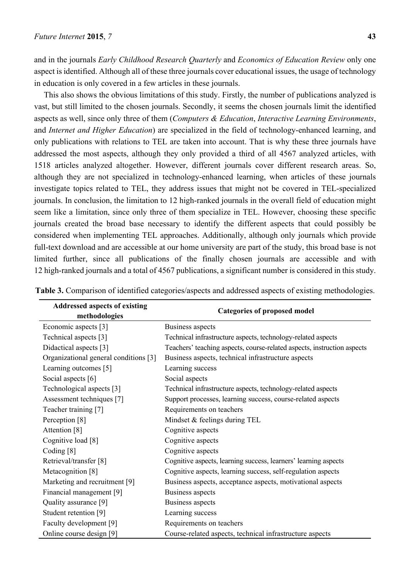and in the journals *Early Childhood Research Quarterly* and *Economics of Education Review* only one aspect is identified. Although all of these three journals cover educational issues, the usage of technology in education is only covered in a few articles in these journals.

This also shows the obvious limitations of this study. Firstly, the number of publications analyzed is vast, but still limited to the chosen journals. Secondly, it seems the chosen journals limit the identified aspects as well, since only three of them (*Computers & Education*, *Interactive Learning Environments*, and *Internet and Higher Education*) are specialized in the field of technology-enhanced learning, and only publications with relations to TEL are taken into account. That is why these three journals have addressed the most aspects, although they only provided a third of all 4567 analyzed articles, with 1518 articles analyzed altogether. However, different journals cover different research areas. So, although they are not specialized in technology-enhanced learning, when articles of these journals investigate topics related to TEL, they address issues that might not be covered in TEL-specialized journals. In conclusion, the limitation to 12 high-ranked journals in the overall field of education might seem like a limitation, since only three of them specialize in TEL. However, choosing these specific journals created the broad base necessary to identify the different aspects that could possibly be considered when implementing TEL approaches. Additionally, although only journals which provide full-text download and are accessible at our home university are part of the study, this broad base is not limited further, since all publications of the finally chosen journals are accessible and with 12 high-ranked journals and a total of 4567 publications, a significant number is considered in this study.

| <b>Addressed aspects of existing</b>  | <b>Categories of proposed model</b>                                     |  |  |  |  |
|---------------------------------------|-------------------------------------------------------------------------|--|--|--|--|
| methodologies                         |                                                                         |  |  |  |  |
| Economic aspects [3]                  | Business aspects                                                        |  |  |  |  |
| Technical aspects [3]                 | Technical infrastructure aspects, technology-related aspects            |  |  |  |  |
| Didactical aspects [3]                | Teachers' teaching aspects, course-related aspects, instruction aspects |  |  |  |  |
| Organizational general conditions [3] | Business aspects, technical infrastructure aspects                      |  |  |  |  |
| Learning outcomes [5]                 | Learning success                                                        |  |  |  |  |
| Social aspects [6]                    | Social aspects                                                          |  |  |  |  |
| Technological aspects [3]             | Technical infrastructure aspects, technology-related aspects            |  |  |  |  |
| Assessment techniques [7]             | Support processes, learning success, course-related aspects             |  |  |  |  |
| Teacher training [7]                  | Requirements on teachers                                                |  |  |  |  |
| Perception [8]                        | Mindset & feelings during TEL                                           |  |  |  |  |
| Attention [8]                         | Cognitive aspects                                                       |  |  |  |  |
| Cognitive load [8]                    | Cognitive aspects                                                       |  |  |  |  |
| Coding $[8]$                          | Cognitive aspects                                                       |  |  |  |  |
| Retrieval/transfer [8]                | Cognitive aspects, learning success, learners' learning aspects         |  |  |  |  |
| Metacognition [8]                     | Cognitive aspects, learning success, self-regulation aspects            |  |  |  |  |
| Marketing and recruitment [9]         | Business aspects, acceptance aspects, motivational aspects              |  |  |  |  |
| Financial management [9]              | <b>Business aspects</b>                                                 |  |  |  |  |
| Quality assurance [9]                 | Business aspects                                                        |  |  |  |  |
| Student retention [9]                 | Learning success                                                        |  |  |  |  |
| Faculty development [9]               | Requirements on teachers                                                |  |  |  |  |
| Online course design [9]              | Course-related aspects, technical infrastructure aspects                |  |  |  |  |

**Table 3.** Comparison of identified categories/aspects and addressed aspects of existing methodologies.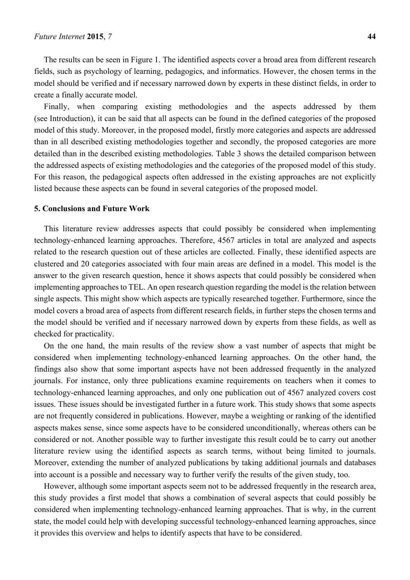The results can be seen in Figure 1. The identified aspects cover a broad area from different research fields, such as psychology of learning, pedagogics, and informatics. However, the chosen terms in the model should be verified and if necessary narrowed down by experts in these distinct fields, in order to create a finally accurate model.

Finally, when comparing existing methodologies and the aspects addressed by them (see Introduction), it can be said that all aspects can be found in the defined categories of the proposed model of this study. Moreover, in the proposed model, firstly more categories and aspects are addressed than in all described existing methodologies together and secondly, the proposed categories are more detailed than in the described existing methodologies. Table 3 shows the detailed comparison between the addressed aspects of existing methodologies and the categories of the proposed model of this study. For this reason, the pedagogical aspects often addressed in the existing approaches are not explicitly listed because these aspects can be found in several categories of the proposed model.

## **5. Conclusions and Future Work**

This literature review addresses aspects that could possibly be considered when implementing technology-enhanced learning approaches. Therefore, 4567 articles in total are analyzed and aspects related to the research question out of these articles are collected. Finally, these identified aspects are clustered and 20 categories associated with four main areas are defined in a model. This model is the answer to the given research question, hence it shows aspects that could possibly be considered when implementing approaches to TEL. An open research question regarding the model is the relation between single aspects. This might show which aspects are typically researched together. Furthermore, since the model covers a broad area of aspects from different research fields, in further steps the chosen terms and the model should be verified and if necessary narrowed down by experts from these fields, as well as checked for practicality.

On the one hand, the main results of the review show a vast number of aspects that might be considered when implementing technology-enhanced learning approaches. On the other hand, the findings also show that some important aspects have not been addressed frequently in the analyzed journals. For instance, only three publications examine requirements on teachers when it comes to technology-enhanced learning approaches, and only one publication out of 4567 analyzed covers cost issues. These issues should be investigated further in a future work. This study shows that some aspects are not frequently considered in publications. However, maybe a weighting or ranking of the identified aspects makes sense, since some aspects have to be considered unconditionally, whereas others can be considered or not. Another possible way to further investigate this result could be to carry out another literature review using the identified aspects as search terms, without being limited to journals. Moreover, extending the number of analyzed publications by taking additional journals and databases into account is a possible and necessary way to further verify the results of the given study, too.

However, although some important aspects seem not to be addressed frequently in the research area, this study provides a first model that shows a combination of several aspects that could possibly be considered when implementing technology-enhanced learning approaches. That is why, in the current state, the model could help with developing successful technology-enhanced learning approaches, since it provides this overview and helps to identify aspects that have to be considered.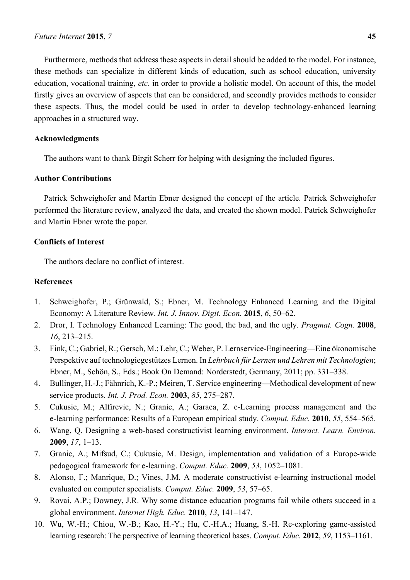Furthermore, methods that address these aspects in detail should be added to the model. For instance, these methods can specialize in different kinds of education, such as school education, university education, vocational training, *etc.* in order to provide a holistic model. On account of this, the model firstly gives an overview of aspects that can be considered, and secondly provides methods to consider these aspects. Thus, the model could be used in order to develop technology-enhanced learning approaches in a structured way.

# **Acknowledgments**

The authors want to thank Birgit Scherr for helping with designing the included figures.

# **Author Contributions**

Patrick Schweighofer and Martin Ebner designed the concept of the article. Patrick Schweighofer performed the literature review, analyzed the data, and created the shown model. Patrick Schweighofer and Martin Ebner wrote the paper.

## **Conflicts of Interest**

The authors declare no conflict of interest.

## **References**

- 1. Schweighofer, P.; Grünwald, S.; Ebner, M. Technology Enhanced Learning and the Digital Economy: A Literature Review. *Int. J. Innov. Digit. Econ.* **2015**, *6*, 50–62.
- 2. Dror, I. Technology Enhanced Learning: The good, the bad, and the ugly. *Pragmat. Cogn.* **2008**, *16*, 213–215.
- 3. Fink, C.; Gabriel, R.; Gersch, M.; Lehr, C.; Weber, P. Lernservice-Engineering—Eine ökonomische Perspektive auf technologiegestützes Lernen. In *Lehrbuch für Lernen und Lehren mit Technologien*; Ebner, M., Schön, S., Eds.; Book On Demand: Norderstedt, Germany, 2011; pp. 331–338.
- 4. Bullinger, H.-J.; Fähnrich, K.-P.; Meiren, T. Service engineering—Methodical development of new service products. *Int. J. Prod. Econ.* **2003**, *85*, 275–287.
- 5. Cukusic, M.; Alfirevic, N.; Granic, A.; Garaca, Z. e-Learning process management and the e-learning performance: Results of a European empirical study. *Comput. Educ.* **2010**, *55*, 554–565.
- 6. Wang, Q. Designing a web-based constructivist learning environment. *Interact. Learn. Environ.* **2009**, *17*, 1–13.
- 7. Granic, A.; Mifsud, C.; Cukusic, M. Design, implementation and validation of a Europe-wide pedagogical framework for e-learning. *Comput. Educ.* **2009**, *53*, 1052–1081.
- 8. Alonso, F.; Manrique, D.; Vines, J.M. A moderate constructivist e-learning instructional model evaluated on computer specialists. *Comput. Educ.* **2009**, *53*, 57–65.
- 9. Rovai, A.P.; Downey, J.R. Why some distance education programs fail while others succeed in a global environment. *Internet High. Educ.* **2010**, *13*, 141–147.
- 10. Wu, W.-H.; Chiou, W.-B.; Kao, H.-Y.; Hu, C.-H.A.; Huang, S.-H. Re-exploring game-assisted learning research: The perspective of learning theoretical bases. *Comput. Educ.* **2012**, *59*, 1153–1161.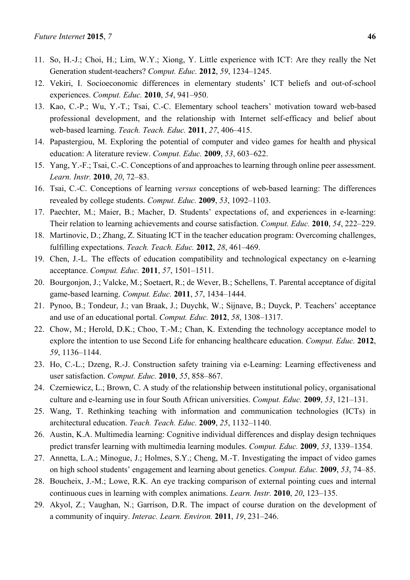- 11. So, H.-J.; Choi, H.; Lim, W.Y.; Xiong, Y. Little experience with ICT: Are they really the Net Generation student-teachers? *Comput. Educ.* **2012**, *59*, 1234–1245.
- 12. Vekiri, I. Socioeconomic differences in elementary students' ICT beliefs and out-of-school experiences. *Comput. Educ.* **2010**, *54*, 941–950.
- 13. Kao, C.-P.; Wu, Y.-T.; Tsai, C.-C. Elementary school teachers' motivation toward web-based professional development, and the relationship with Internet self-efficacy and belief about web-based learning. *Teach. Teach. Educ.* **2011**, *27*, 406–415.
- 14. Papastergiou, M. Exploring the potential of computer and video games for health and physical education: A literature review. *Comput. Educ.* **2009**, *53*, 603–622.
- 15. Yang, Y.-F.; Tsai, C.-C. Conceptions of and approaches to learning through online peer assessment. *Learn. Instr.* **2010**, *20*, 72–83.
- 16. Tsai, C.-C. Conceptions of learning *versus* conceptions of web-based learning: The differences revealed by college students. *Comput. Educ.* **2009**, *53*, 1092–1103.
- 17. Paechter, M.; Maier, B.; Macher, D. Students' expectations of, and experiences in e-learning: Their relation to learning achievements and course satisfaction. *Comput. Educ.* **2010**, *54*, 222–229.
- 18. Martinovic, D.; Zhang, Z. Situating ICT in the teacher education program: Overcoming challenges, fulfilling expectations. *Teach. Teach. Educ.* **2012**, *28*, 461–469.
- 19. Chen, J.-L. The effects of education compatibility and technological expectancy on e-learning acceptance. *Comput. Educ.* **2011**, *57*, 1501–1511.
- 20. Bourgonjon, J.; Valcke, M.; Soetaert, R.; de Wever, B.; Schellens, T. Parental acceptance of digital game-based learning. *Comput. Educ.* **2011**, *57*, 1434–1444.
- 21. Pynoo, B.; Tondeur, J.; van Braak, J.; Duychk, W.; Sijnave, B.; Duyck, P. Teachers' acceptance and use of an educational portal. *Comput. Educ.* **2012**, *58*, 1308–1317.
- 22. Chow, M.; Herold, D.K.; Choo, T.-M.; Chan, K. Extending the technology acceptance model to explore the intention to use Second Life for enhancing healthcare education. *Comput. Educ.* **2012**, *59*, 1136–1144.
- 23. Ho, C.-L.; Dzeng, R.-J. Construction safety training via e-Learning: Learning effectiveness and user satisfaction. *Comput. Educ.* **2010**, *55*, 858–867.
- 24. Czerniewicz, L.; Brown, C. A study of the relationship between institutional policy, organisational culture and e-learning use in four South African universities. *Comput. Educ.* **2009**, *53*, 121–131.
- 25. Wang, T. Rethinking teaching with information and communication technologies (ICTs) in architectural education. *Teach. Teach. Educ.* **2009**, *25*, 1132–1140.
- 26. Austin, K.A. Multimedia learning: Cognitive individual differences and display design techniques predict transfer learning with multimedia learning modules. *Comput. Educ.* **2009**, *53*, 1339–1354.
- 27. Annetta, L.A.; Minogue, J.; Holmes, S.Y.; Cheng, M.-T. Investigating the impact of video games on high school students' engagement and learning about genetics. *Comput. Educ.* **2009**, *53*, 74–85.
- 28. Boucheix, J.-M.; Lowe, R.K. An eye tracking comparison of external pointing cues and internal continuous cues in learning with complex animations. *Learn. Instr.* **2010**, *20*, 123–135.
- 29. Akyol, Z.; Vaughan, N.; Garrison, D.R. The impact of course duration on the development of a community of inquiry. *Interac. Learn. Environ.* **2011**, *19*, 231–246.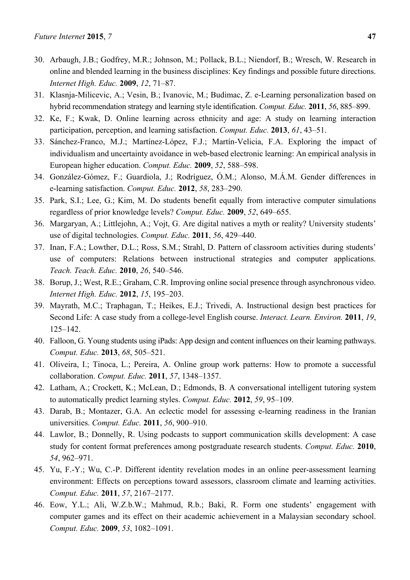- 30. Arbaugh, J.B.; Godfrey, M.R.; Johnson, M.; Pollack, B.L.; Niendorf, B.; Wresch, W. Research in online and blended learning in the business disciplines: Key findings and possible future directions. *Internet High. Educ.* **2009**, *12*, 71–87.
- 31. Klasnja-Milicevic, A.; Vesin, B.; Ivanovic, M.; Budimac, Z. e-Learning personalization based on hybrid recommendation strategy and learning style identification. *Comput. Educ.* **2011**, *56*, 885–899.
- 32. Ke, F.; Kwak, D. Online learning across ethnicity and age: A study on learning interaction participation, perception, and learning satisfaction. *Comput. Educ.* **2013**, *61*, 43–51.
- 33. Sánchez-Franco, M.J.; Martínez-López, F.J.; Martín-Velicia, F.A. Exploring the impact of individualism and uncertainty avoidance in web-based electronic learning: An empirical analysis in European higher education. *Comput. Educ.* **2009**, *52*, 588–598.
- 34. González-Gómez, F.; Guardiola, J.; Rodríguez, Ó.M.; Alonso, M.Á.M. Gender differences in e-learning satisfaction. *Comput. Educ.* **2012**, *58*, 283–290.
- 35. Park, S.I.; Lee, G.; Kim, M. Do students benefit equally from interactive computer simulations regardless of prior knowledge levels? *Comput. Educ.* **2009**, *52*, 649–655.
- 36. Margaryan, A.; Littlejohn, A.; Vojt, G. Are digital natives a myth or reality? University students' use of digital technologies. *Comput. Educ.* **2011**, *56*, 429–440.
- 37. Inan, F.A.; Lowther, D.L.; Ross, S.M.; Strahl, D. Pattern of classroom activities during students' use of computers: Relations between instructional strategies and computer applications. *Teach. Teach. Educ.* **2010**, *26*, 540–546.
- 38. Borup, J.; West, R.E.; Graham, C.R. Improving online social presence through asynchronous video. *Internet High. Educ.* **2012**, *15*, 195–203.
- 39. Mayrath, M.C.; Traphagan, T.; Heikes, E.J.; Trivedi, A. Instructional design best practices for Second Life: A case study from a college-level English course. *Interact. Learn. Environ.* **2011**, *19*, 125–142.
- 40. Falloon, G. Young students using iPads: App design and content influences on their learning pathways. *Comput. Educ.* **2013**, *68*, 505–521.
- 41. Oliveira, I.; Tinoca, L.; Pereira, A. Online group work patterns: How to promote a successful collaboration. *Comput. Educ.* **2011**, *57*, 1348–1357.
- 42. Latham, A.; Crockett, K.; McLean, D.; Edmonds, B. A conversational intelligent tutoring system to automatically predict learning styles. *Comput. Educ.* **2012**, *59*, 95–109.
- 43. Darab, B.; Montazer, G.A. An eclectic model for assessing e-learning readiness in the Iranian universities. *Comput. Educ.* **2011**, *56*, 900–910.
- 44. Lawlor, B.; Donnelly, R. Using podcasts to support communication skills development: A case study for content format preferences among postgraduate research students. *Comput. Educ.* **2010**, *54*, 962–971.
- 45. Yu, F.-Y.; Wu, C.-P. Different identity revelation modes in an online peer-assessment learning environment: Effects on perceptions toward assessors, classroom climate and learning activities. *Comput. Educ.* **2011**, *57*, 2167–2177.
- 46. Eow, Y.L.; Ali, W.Z.b.W.; Mahmud, R.b.; Baki, R. Form one students' engagement with computer games and its effect on their academic achievement in a Malaysian secondary school. *Comput. Educ.* **2009**, *53*, 1082–1091.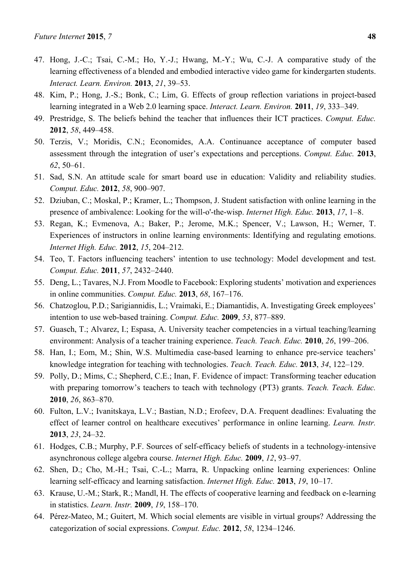- 47. Hong, J.-C.; Tsai, C.-M.; Ho, Y.-J.; Hwang, M.-Y.; Wu, C.-J. A comparative study of the learning effectiveness of a blended and embodied interactive video game for kindergarten students. *Interact. Learn. Environ.* **2013**, *21*, 39–53.
- 48. Kim, P.; Hong, J.-S.; Bonk, C.; Lim, G. Effects of group reflection variations in project-based learning integrated in a Web 2.0 learning space. *Interact. Learn. Environ.* **2011**, *19*, 333–349.
- 49. Prestridge, S. The beliefs behind the teacher that influences their ICT practices. *Comput. Educ.* **2012**, *58*, 449–458.
- 50. Terzis, V.; Moridis, C.N.; Economides, A.A. Continuance acceptance of computer based assessment through the integration of user's expectations and perceptions. *Comput. Educ.* **2013**, *62*, 50–61.
- 51. Sad, S.N. An attitude scale for smart board use in education: Validity and reliability studies. *Comput. Educ.* **2012**, *58*, 900–907.
- 52. Dziuban, C.; Moskal, P.; Kramer, L.; Thompson, J. Student satisfaction with online learning in the presence of ambivalence: Looking for the will-o'-the-wisp. *Internet High. Educ.* **2013**, *17*, 1–8.
- 53. Regan, K.; Evmenova, A.; Baker, P.; Jerome, M.K.; Spencer, V.; Lawson, H.; Werner, T. Experiences of instructors in online learning environments: Identifying and regulating emotions. *Internet High. Educ.* **2012**, *15*, 204–212.
- 54. Teo, T. Factors influencing teachers' intention to use technology: Model development and test. *Comput. Educ.* **2011**, *57*, 2432–2440.
- 55. Deng, L.; Tavares, N.J. From Moodle to Facebook: Exploring students' motivation and experiences in online communities. *Comput. Educ.* **2013**, *68*, 167–176.
- 56. Chatzoglou, P.D.; Sarigiannidis, L.; Vraimaki, E.; Diamantidis, A. Investigating Greek employees' intention to use web-based training. *Comput. Educ.* **2009**, *53*, 877–889.
- 57. Guasch, T.; Alvarez, I.; Espasa, A. University teacher competencies in a virtual teaching/learning environment: Analysis of a teacher training experience. *Teach. Teach. Educ.* **2010**, *26*, 199–206.
- 58. Han, I.; Eom, M.; Shin, W.S. Multimedia case-based learning to enhance pre-service teachers' knowledge integration for teaching with technologies. *Teach. Teach. Educ.* **2013**, *34*, 122–129.
- 59. Polly, D.; Mims, C.; Shepherd, C.E.; Inan, F. Evidence of impact: Transforming teacher education with preparing tomorrow's teachers to teach with technology (PT3) grants. *Teach. Teach. Educ.* **2010**, *26*, 863–870.
- 60. Fulton, L.V.; Ivanitskaya, L.V.; Bastian, N.D.; Erofeev, D.A. Frequent deadlines: Evaluating the effect of learner control on healthcare executives' performance in online learning. *Learn. Instr.* **2013**, *23*, 24–32.
- 61. Hodges, C.B.; Murphy, P.F. Sources of self-efficacy beliefs of students in a technology-intensive asynchronous college algebra course. *Internet High. Educ.* **2009**, *12*, 93–97.
- 62. Shen, D.; Cho, M.-H.; Tsai, C.-L.; Marra, R. Unpacking online learning experiences: Online learning self-efficacy and learning satisfaction. *Internet High. Educ.* **2013**, *19*, 10–17.
- 63. Krause, U.-M.; Stark, R.; Mandl, H. The effects of cooperative learning and feedback on e-learning in statistics. *Learn. Instr.* **2009**, *19*, 158–170.
- 64. Pérez-Mateo, M.; Guitert, M. Which social elements are visible in virtual groups? Addressing the categorization of social expressions. *Comput. Educ.* **2012**, *58*, 1234–1246.